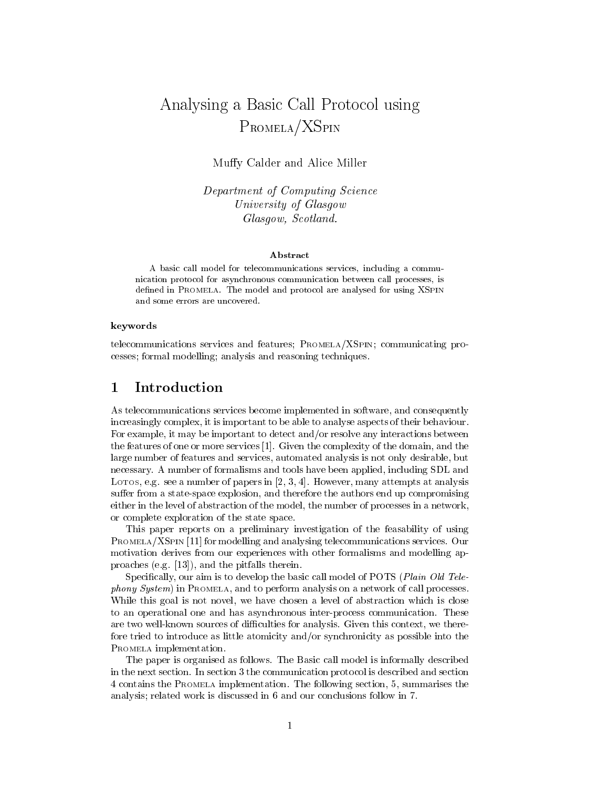# Analysing a Basic Call Protocol using PROMELA/XSPIN

Muffy Calder and Alice Miller

Department of Computing Science University of Glasgow Glasgow, Scotland.

### Abstract

A basic call model for telecommunications services, including a commu nication protocol for asynchronous communication between call processes, is defined in PROMELA. The model and protocol are analysed for using XSPIN and some errors are uncovered.

### keywords

telecommunications services and features; PROMELA/XSPIN; communicating processes; formal modelling; analysis and reasoning techniques.

#### $\mathbf 1$ **Introduction**

As telecommunications services become implemented in software, and consequently increasingly complex, it is important to be able to analyse aspects of their behaviour. For example, it may be important to detect and/or resolve any interactions between the features of one or more services [1]. Given the complexity of the domain, and the large number of features and services, automated analysis is not only desirable, but necessary. A number of formalisms and tools have been applied, including SDL and LOTOS, e.g. see a number of papers in [2, 3, 4]. However, many attempts at analysis suffer from a state-space explosion, and therefore the authors end up compromising either in the level of abstraction of the model, the number of processes in a network, or complete exploration of the state space.

This paper reports on a preliminary investigation of the feasability of using PROMELA/XSPIN [11] for modelling and analysing telecommunications services. Our motivation derives from our experiences with other formalisms and modelling approaches (e.g. [13]), and the pitfalls therein.

Specifically, our aim is to develop the basic call model of POTS (Plain Old Telephony System) in PROMELA, and to perform analysis on a network of call processes. While this goal is not novel, we have chosen a level of abstraction which is close to an operational one and has asynchronous inter-process communication. These are two well-known sources of difficulties for analysis. Given this context, we therefore tried to introduce as little atomicity and/or synchronicity as possible into the PROMELA implementation.

The paper is organised as follows. The Basic call model is informally described in the next section. In section 3 the communication protocol is described and section 4 contains the PROMELA implementation. The following section, 5, summarises the analysis; related work is discussed in 6 and our conclusions follow in 7.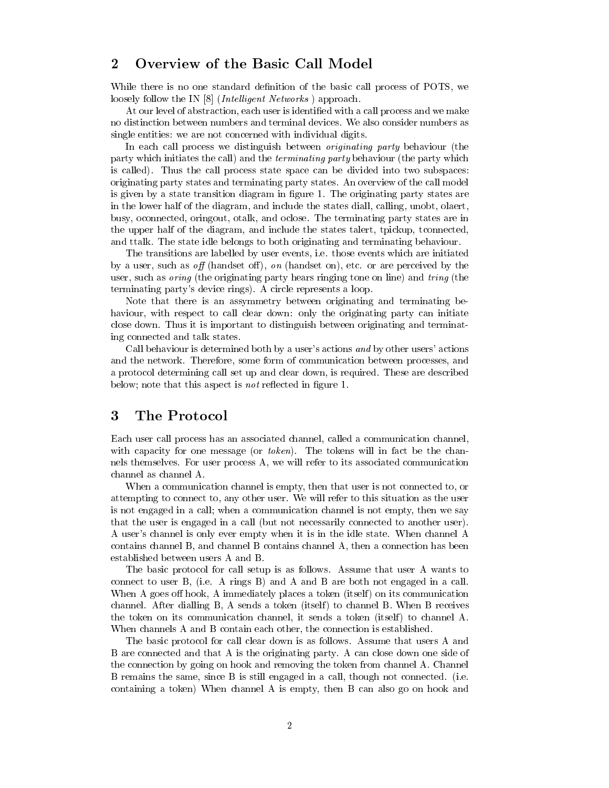### 2 Overview of the Basic Call Model

While there is no one standard definition of the basic call process of POTS, we loosely follow the IN [8] (*Intelligent Networks*) approach.

At our level of abstraction, each user is identied with a call process and we make no distinction between numbers and terminal devices. We also consider numbers as single entities: we are not concerned with individual digits.

In each call process we distinguish between originating party behaviour (the party which initiates the call) and the terminating party behaviour (the party which is called). Thus the call process state space can be divided into two subspaces: originating party states and terminating party states. An overview of the call model is given by a state transition diagram in figure 1. The originating party states are in the lower half of the diagram, and include the states diall, calling, unobt, olaert, busy, oconnected, oringout, otalk, and oclose. The terminating party states are in the upper half of the diagram, and include the states talert, tpickup, tconnected, and ttalk. The state idle belongs to both originating and terminating behaviour.

The transitions are labelled by user events, i.e. those events which are initiated by a user, such as off (handset off), on (handset on), etc. or are perceived by the user, such as *oring* (the originating party hears ringing tone on line) and *tring* (the terminating party's device rings). A circle represents a loop.

Note that there is an assymmetry between originating and terminating behaviour, with respect to call clear down: only the originating party can initiate close down. Thus it is important to distinguish between originating and terminating connected and talk states.

Call behaviour is determined both by a user's actions and by other users' actions and the network. Therefore, some form of communication between processes, and a protocol determining call set up and clear down, is required. These are described below; note that this aspect is *not* reflected in figure 1.

### 3 The Protocol

Each user call process has an associated channel, called a communication channel, with capacity for one message (or *token*). The tokens will in fact be the channels themselves. For user process A, we will refer to its associated communication channel as channel A.

When a communication channel is empty, then that user is not connected to, or attempting to connect to, any other user. We will refer to this situation as the user is not engaged in a call; when a communication channel is not empty, then we say that the user is engaged in a call (but not necessarily connected to another user). A user's channel is only ever empty when it is in the idle state. When channel A contains channel B, and channel B contains channel A, then a connection has been established between users A and B.

The basic protocol for call setup is as follows. Assume that user A wants to connect to user B, (i.e. A rings B) and A and B are both not engaged in a call. When A goes off hook, A immediately places a token (itself) on its communication channel. After dialling  $B$ ,  $A$  sends a token (itself) to channel  $B$ . When  $B$  receives the token on its communication channel, it sends a token (itself) to channel A. When channels A and B contain each other, the connection is established.

The basic protocol for call clear down is as follows. Assume that users A and B are connected and that A is the originating party. A can close down one side of the connection by going on hook and removing the token from channel A. Channel B remains the same, since B is still engaged in a call, though not connected. (i.e. containing a token) When channel A is empty, then B can also go on hook and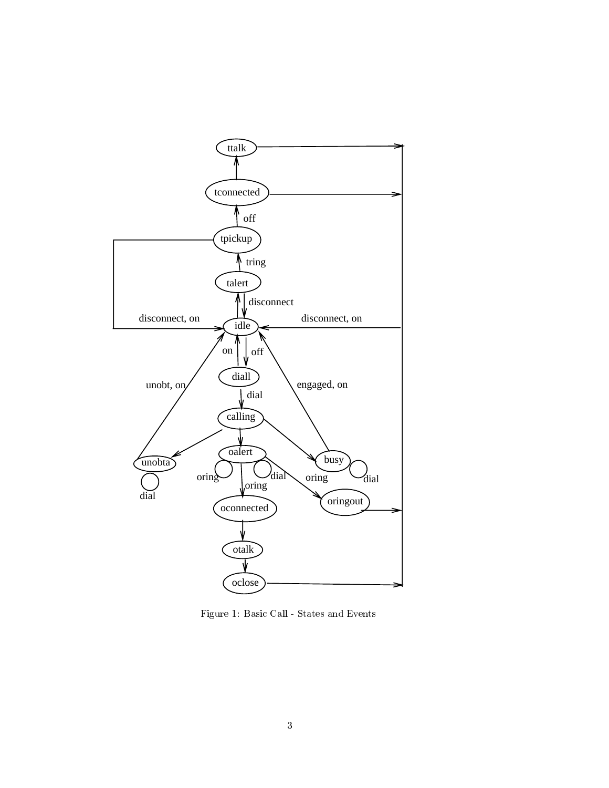

Figure 1: Basic Call - States and Events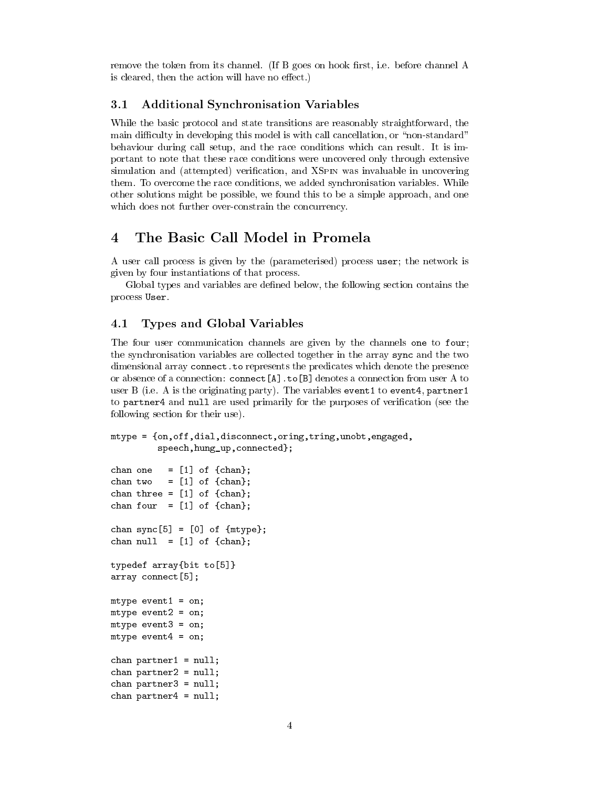remove the token from its channel. (If B goes on hook first, i.e. before channel A is cleared, then the action will have no effect.)

#### $3.1$ 3.1 Additional Synchronisation Variables

While the basic protocol and state transitions are reasonably straightforward, the main difficulty in developing this model is with call cancellation, or "non-standard" behaviour during call setup, and the race conditions which can result. It is important to note that these race conditions were uncovered only through extensive simulation and (attempted) verification, and XSPIN was invaluable in uncovering them. To overcome the race conditions, we added synchronisation variables. While other solutions might be possible, we found this to be a simple approach, and one which does not further over-constrain the concurrency.

### The Basic Call Model in Promela  $\overline{\mathcal{A}}$

A user call process is given by the (parameterised) process user; the network is given by four instantiations of that process.

Global types and variables are defined below, the following section contains the process User.

### 4.1 Types and Global Variables

The four user communication channels are given by the channels one to four; the synchronisation variables are collected together in the array sync and the two dimensional array connect.to represents the predicates which denote the presence or absence of a connection: connect  $[A]$ .to  $[B]$  denotes a connection from user A to user B (i.e. A is the originating party). The variables event1 to event4, partner1 to partner4 and null are used primarily for the purposes of verification (see the following section for their use).

```
mtype = {on,off,dial,disconnect,oring,tring,unobt,engaged,
         speech,hung_up,connected};
```

```
chan one = [1] of {chan};
chan two = [1] of {chnan};
chan three = [1] of {chnn};
chan four = [1] of {chan};
chan sync[5] = [0] of {\{mtype\}};chan null = [1] of {chan};
typedef array{bit to[5]}
array connect[5];
mtype event1 = on;
mtype event2 = on;
mtype event3 = on;
mtype event4 = on;chan partner1 = null;
chan partner2 = null;
chan partner3 = null;
chan partner4 = null;
```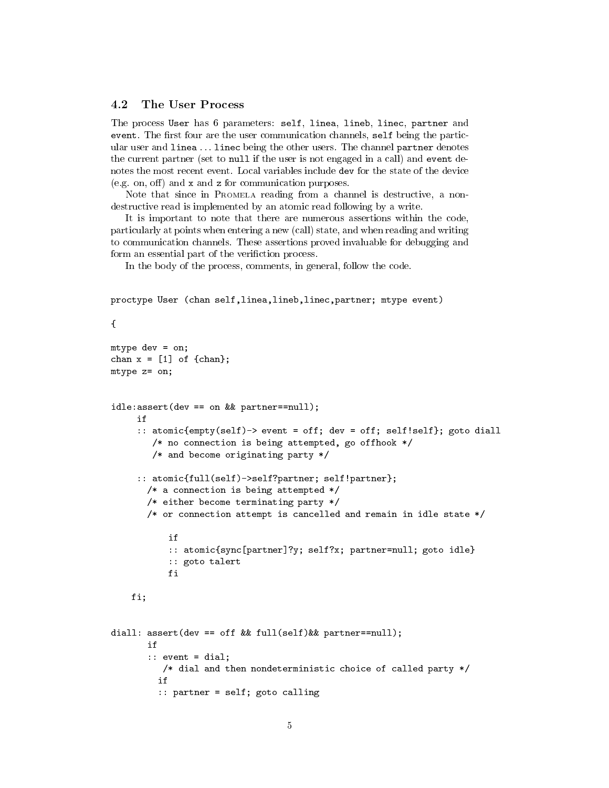#### 4.2 The User Process

The process User has 6 parameters: self, linea, lineb, linec, partner and event. The first four are the user communication channels, self being the particular user and linea ... linec being the other users. The channel partner denotes the current partner (set to null if the user is not engaged in a call) and event denotes the most recent event. Local variables include dev for the state of the device (e.g. on, off) and  $x$  and  $z$  for communication purposes.

Note that since in PROMELA reading from a channel is destructive, a nondestructive read is implemented by an atomic read following by a write.

It is important to note that there are numerous assertions within the code, particularly at points when entering a new (call) state, and when reading and writing to communication channels. These assertions proved invaluable for debugging and form an essential part of the verifiction process.

In the body of the process, comments, in general, follow the code.

```
proctype User (chan self,linea,lineb,linec,partner; mtype event)
{
mtype dev = on;
chan x = [1] of {chain};mtype z= on;
idle:assert(dev == on && partner==null);
     if
     :: atomic{empty(self)-> event = off; dev = off; self!self}; goto diall
        /* no connection is being attempted, go offhook */
        /* and become originating party */
     :: atomic{full(self)->self?partner; self!partner};
       /* a connection is being attempted */
       /* either become terminating party */
       /* or connection attempt is cancelled and remain in idle state */
           if
           :: atomic{sync[partner]?y; self?x; partner=null; goto idle}
           :: goto talert
    fi;
diall: assert(dev == off && full(self)&& partner==null);
       i f\cdots event = dial;
          /* dial and then nondeterministic choice of called party */
         if
         :: partner = self; goto calling
```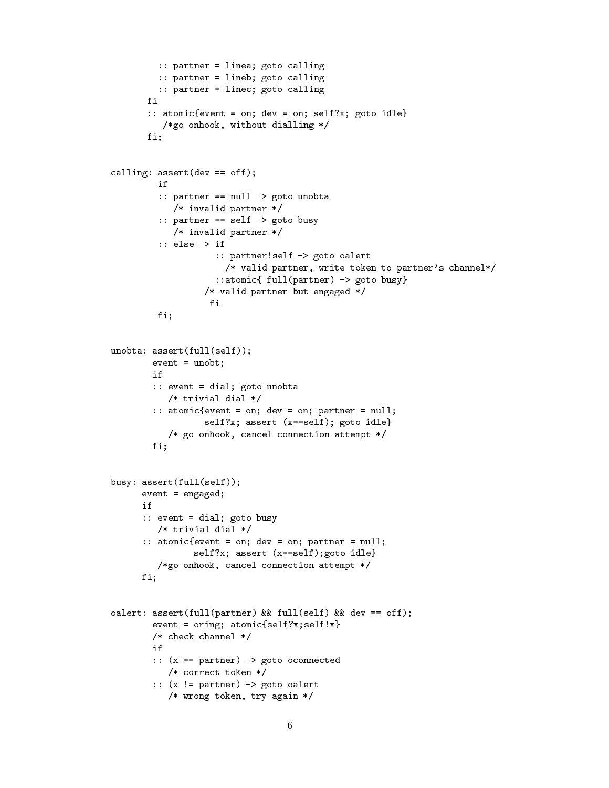```
:: partner = linea; goto calling
         :: partner = lineb; goto calling
         :: partner = linec; goto calling
       fi
       :: atomic{event = on; dev = on; self?x; goto idle}
          /*go onhook, without dialling */
       fi;
calling: assert (\text{dev} == \text{off});
         if
         :: partner == null -> goto unobta
            /* invalid partner */
         :: partner == self -> goto busy
            /* invalid partner */
         :: else -> if
                    :: partner!self -> goto oalert
                      /* valid partner, write token to partner's channel*/
                    ::atomic{ full(partner) -> goto busy}
                  /* valid partner but engaged */
         fi;
unobta: assert(full(self));
        event = unobt;
        i f
        :: event = dial; goto unobta
           /* trivial dial */
        :: atomic{event = on; dev = on; partner = null;
                  self?x; assert (x==self); goto idle}
           /* go onhook, cancel connection attempt */
        fi;
busy: assert(full(self));
      event = engaged;
      :: event = dial; goto busy
         /* trivial dial */
      :: atomic{event = on; dev = on; partner = null;
                self?x; assert (x==self);goto idle}
         /*go onhook, cancel connection attempt */
      fi;
oalert: assert(full(partner) && full(self) && dev == off);
        event = oring; atomic{self?x; self!x}/* check channel */
        if
        :: (x == partner) -> goto oconnected
           /* correct token */
        :: (x != partner) -> goto oalert
           /* wrong token, try again */
```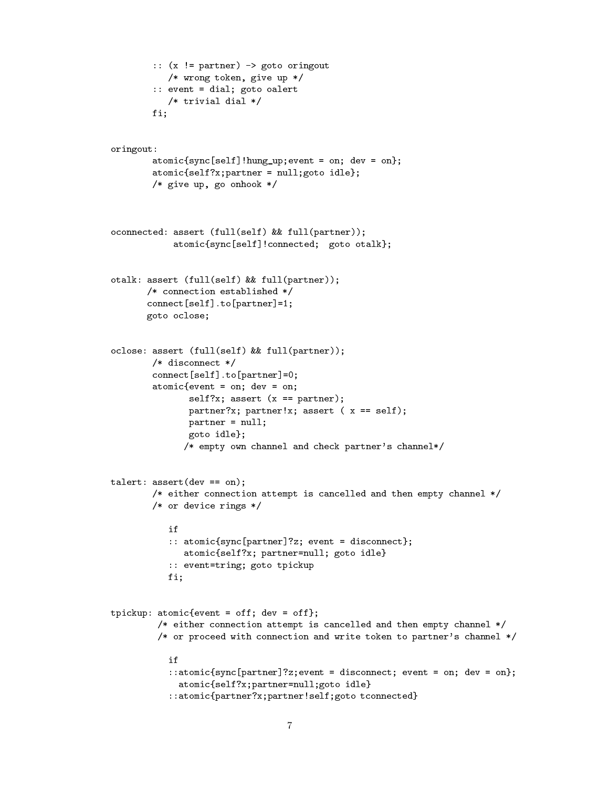```
:: (x != partner) -> goto oringout
           /* wrong token, give up */
        :: event = dial; goto oalert
           /* trivial dial */
        \equiv \equiv \frac{1}{2}oringout:
        atomic[self]!hung up; event = on; dev = on};atomic{self?x; partner = null;goto idle};/* give up, go onhook */
oconnected: assert (full(self) && full(partner));
            atomic{sync[self]!connected; goto otalk};
otalk: assert (full(self) && full(partner));
       /* connection established */
       connect[self].to[partner]=1;
       goto oclose;
oclose: assert (full(self) && full(partner));
        /* disconnect */
        connect[self].to[partner]=0;
        atomic{event = on; dev = on;
               self?x; assert (x == partner);
               partner?x; partner!x; assert (x == self);
              partner = null;
              goto idle};
              /* empty own channel and check partner's channel*/
talert: assert(dev == on);
        /* either connection attempt is cancelled and then empty channel */
        /* or device rings */
           if
           :: atomic{sync[partner]?z; event = disconnect};
              atomic{self?x; partner=null; goto idle}
           :: event=tring; goto tpickup
           fi;
tpickup: atomic{event = off; dev = off};
         /* either connection attempt is cancelled and then empty channel */
         /* or proceed with connection and write token to partner's channel */
           i f
           ::atomic{sync[partner]?z;event = disconnect; event = on; dev = on};
             atomic{self?x;partner=null;goto idle}
           ::atomic{partner?x;partner!self;goto tconnected}
```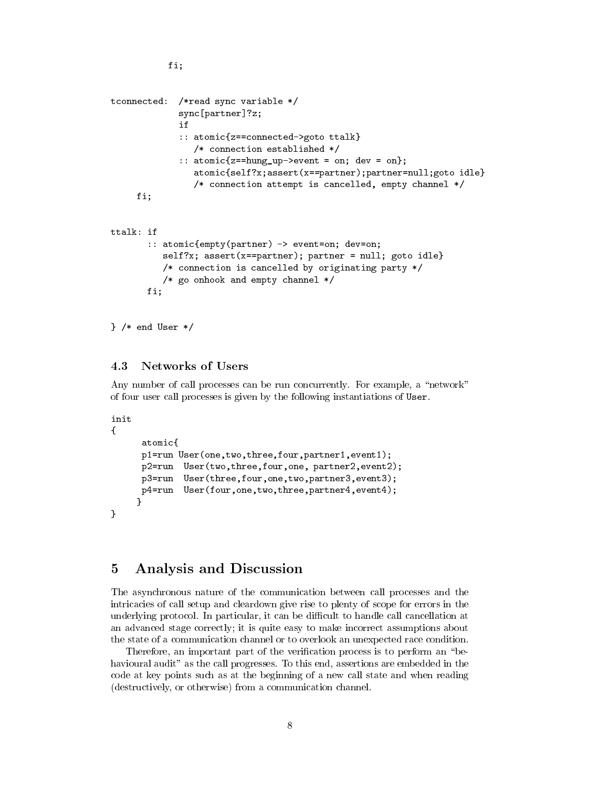```
tconnected: /*read sync variable */
              sync[partner]?z;
              if
              :: atomic{z==connected->goto ttalk}
                 /* connection established */
              :: atomic\{z = \text{hung up-} > \text{event} = \text{on}; \text{dev} = \text{on}\};atomic{self?x;assert(x==partner);partner=null;goto idle}
                 /* connection attempt is cancelled, empty channel */
     fi;
ttalk: if
        :: atomic{empty(partner) -> event=on; dev=on;
           self?x; assert(x==partner); partner = null; goto idle}
           /* connection is cancelled by originating party */
           /* go onhook and empty channel */
       fi;
```

```
} /* end User */
```
#### 4.3 Networks of Users

fi;

Any number of call processes can be run concurrently. For example, a "network" of four user call processes is given by the following instantiations of User.

```
init
f.
```
}

```
{
     atomic{
     p1=run User(one,two,three,four,partner1,event1);
     p2=run User(two,three,four,one, partner2,event2);
     p3=run User(three,four,one,two,partner3,event3);
     p4=run User(four,one,two,three,partner4,event4);
    ł
    }
```
### 5 Analysis and Discussion

The asynchronous nature of the communication between call processes and the intricacies of call setup and cleardown give rise to plenty of scope for errors in the underlying protocol. In particular, it can be difficult to handle call cancellation at an advanced stage correctly; it is quite easy to make incorrect assumptions about the state of a communication channel or to overlook an unexpected race condition.

Therefore, an important part of the verification process is to perform an "behavioural audit" as the call progresses. To this end, assertions are embedded in the code at key points such as at the beginning of a new call state and when reading (destructively, or otherwise) from a communication channel.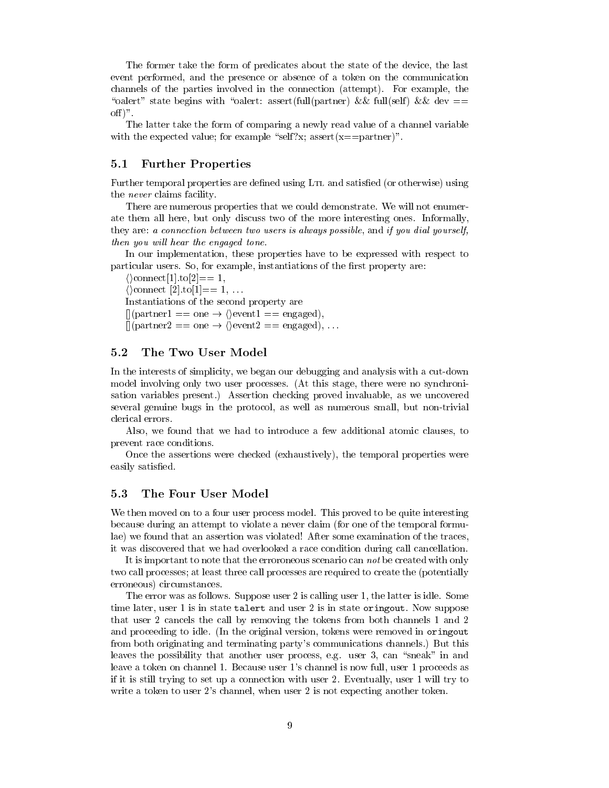The former take the form of predicates about the state of the device, the last event performed, and the presence or absence of a token on the communication channels of the parties involved in the connection (attempt). For example, the "oalert" state begins with "oalert: assert(full(partner) && full(self) && dev  $==$  $\text{off}$ ".

The latter take the form of comparing a newly read value of a channel variable with the expected value; for example "self?x; assert(x==partner)".

### 5.1 Further Properties

Further temporal properties are defined using L<sub>TL</sub> and satisfied (or otherwise) using the never claims facility.

There are numerous properties that we could demonstrate. We will not enumerate them all here, but only discuss two of the more interesting ones. Informally, they are: a connection between two users is always possible, and if you dial yourself, then you will hear the engaged tone.

In our implementation, these properties have to be expressed with respect to particular users. So, for example, instantiations of the first property are:

 $\langle \rangle$ connect[1].to[2]== 1,  $\langle \rangle$ connect [2].to[1]== 1, ... Instantiations of the second property are  $\lceil \text{(partner1 == one} \rightarrow \text{|} \text{event1 == engaged)} \rceil$ ,  $[(\text{partner2} == \text{one} \rightarrow \langle \text{event2} == \text{engaged}), \dots]$ 

#### $5.2$ 5.2 The Two User Model

In the interests of simplicity, we began our debugging and analysis with a cut-down model involving only two user processes. (At this stage, there were no synchronisation variables present.) Assertion checking proved invaluable, as we uncovered several genuine bugs in the protocol, as well as numerous small, but non-trivial clerical errors.

Also, we found that we had to introduce a few additional atomic clauses, to prevent race conditions.

Once the assertions were checked (exhaustively), the temporal properties were easily satisfied.

We then moved on to a four user process model. This proved to be quite interesting because during an attempt to violate a never claim (for one of the temporal formulae) we found that an assertion was violated! After some examination of the traces, it was discovered that we had overlooked a race condition during call cancellation.

It is important to note that the erroroneous scenario can not be created with only two call processes; at least three call processes are required to create the (potentially erroneous) circumstances.

The error was as follows. Suppose user 2 is calling user 1, the latter is idle. Some time later, user 1 is in state talert and user 2 is in state oringout. Now suppose that user 2 cancels the call by removing the tokens from both channels 1 and 2 and proceeding to idle. (In the original version, tokens were removed in oringout from both originating and terminating party's communications channels.) But this leaves the possibility that another user process, e.g. user 3, can "sneak" in and leave a token on channel 1. Because user 1's channel is now full, user 1 proceeds as if it is still trying to set up a connection with user 2. Eventually, user 1 will try to write a token to user 2's channel, when user 2 is not expecting another token.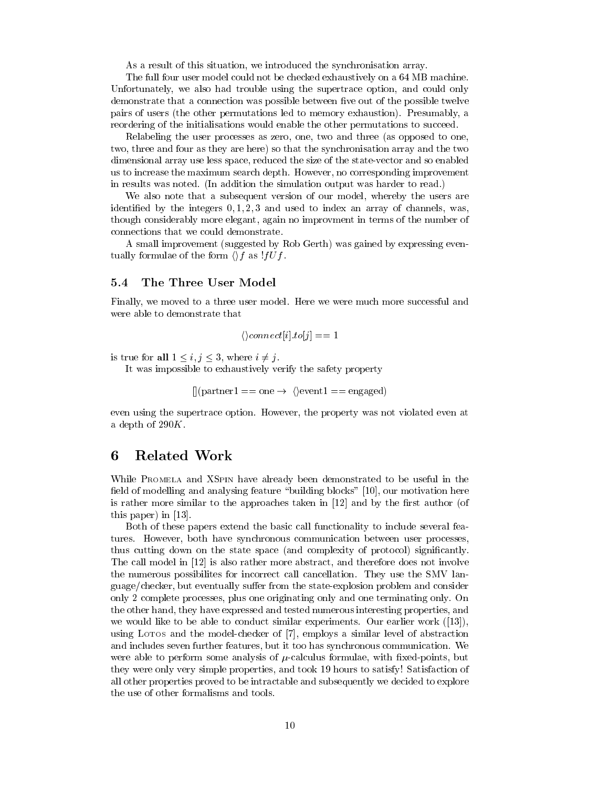As a result of this situation, we introduced the synchronisation array.

The full four user model could not be checked exhaustively on a 64 MB machine. Unfortunately, we also had trouble using the supertrace option, and could only demonstrate that a connection was possible between five out of the possible twelve pairs of users (the other permutations led to memory exhaustion). Presumably, a reordering of the initialisations would enable the other permutations to succeed.

Relabeling the user processes as zero, one, two and three (as opposed to one, two, three and four as they are here) so that the synchronisation array and the two dimensional array use less space, reduced the size of the state-vector and so enabled us to increase the maximum search depth. However, no corresponding improvement in results was noted. (In addition the simulation output was harder to read.)

We also note that a subsequent version of our model, whereby the users are identified by the integers  $0, 1, 2, 3$  and used to index an array of channels, was, though considerably more elegant, again no improvment in terms of the number of connections that we could demonstrate.

A small improvement (suggested by Rob Gerth) was gained by expressing eventually formulae of the form  $\langle f \rangle f$  as  $! f U f$ .

#### 5.4 The Three User Model  $5.4$

Finally, we moved to a three user model. Here we were much more successful and were able to demonstrate that

$$
\langle \rangle connect[i].to[j] == 1
$$

is true for all  $1 \leq i, j \leq 3$ , where  $i \neq j$ .

It was impossible to exhaustively verify the safety property

 $\lceil \text{(partner1 == one} \rightarrow \text{|} \rangle$  (revent 1 = engaged)

even using the supertrace option. However, the property was not violated even at a depth of  $290K$ .

#### **Related Work** 6

While PROMELA and XSPIN have already been demonstrated to be useful in the field of modelling and analysing feature "building blocks"  $[10]$ , our motivation here is rather more similar to the approaches taken in  $[12]$  and by the first author (of this paper) in [13].

Both of these papers extend the basic call functionality to include several features. However, both have synchronous communication between user processes, thus cutting down on the state space (and complexity of protocol) signicantly. The call model in [12] is also rather more abstract, and therefore does not involve the numerous possibilites for incorrect call cancellation. They use the SMV language/checker, but eventually suffer from the state-explosion problem and consider only 2 complete processes, plus one originating only and one terminating only. On the other hand, they have expressed and tested numerous interesting properties, and we would like to be able to conduct similar experiments. Our earlier work ([13]), using LOTOS and the model-checker of [7], employs a similar level of abstraction and includes seven further features, but it too has synchronous communication. We were able to perform some analysis of  $\mu$ -calculus formulae, with fixed-points, but they were only very simple properties, and took 19 hours to satisfy! Satisfaction of all other properties proved to be intractable and subsequently we decided to explore the use of other formalisms and tools.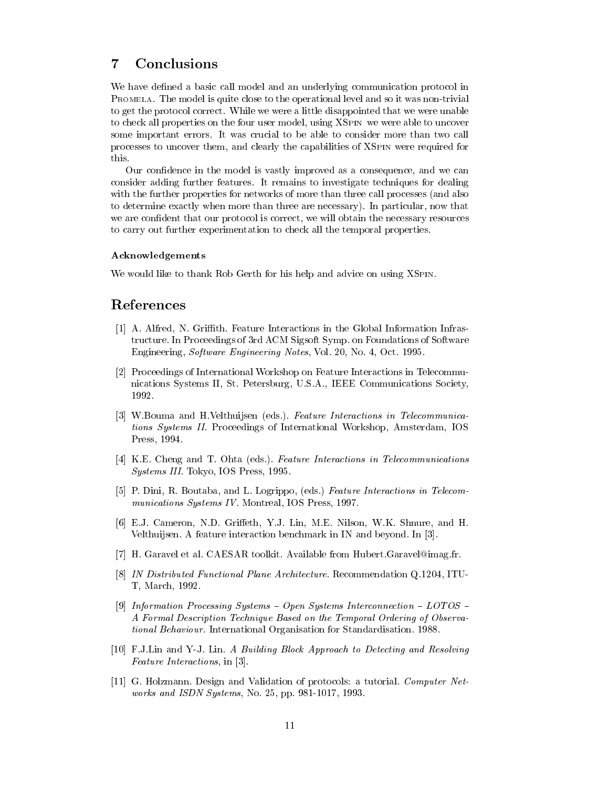## 7 Conclusions

We have defined a basic call model and an underlying communication protocol in PROMELA. The model is quite close to the operational level and so it was non-trivial to get the protocol correct. While we were a little disappointed that we were unable to check all properties on the four user model, using XSPIN we were able to uncover some important errors. It was crucial to be able to consider more than two call processes to uncover them, and clearly the capabilities of XSPIN were required for this.

Our confidence in the model is vastly improved as a consequence, and we can consider adding further features. It remains to investigate techniques for dealing with the further properties for networks of more than three call processes (and also to determine exactly when more than three are necessary). In particular, now that we are condent that our protocol is correct, we will obtain the necessary resources to carry out further experimentation to check all the temporal properties.

### Acknowledgements

We would like to thank Rob Gerth for his help and advice on using XSPIN.

### References

- [1] A. Alfred, N. Grith. Feature Interactions in the Global Information Infrastructure. In Proceedings of 3rd ACM Sigsoft Symp. on Foundations of Software Engineering, Software Engineering Notes, Vol. 20, No. 4, Oct. 1995.
- [2] Proceedings of International Workshop on Feature Interactions in Telecommunications Systems II, St. Petersburg, U.S.A., IEEE Communications Society, 1992.
- [3] W.Bouma and H.Velthuijsen (eds.). Feature Interactions in Telecommunications Systems II. Proceedings of International Workshop, Amsterdam, IOS Press, 1994.
- [4] K.E. Cheng and T. Ohta (eds.). Feature Interactions in Telecommunications Systems III. Tokyo, IOS Press, 1995.
- [5] P. Dini, R. Boutaba, and L. Logrippo, (eds.) Feature Interactions in Telecommunications Systems IV. Montreal, IOS Press, 1997.
- [6] E.J. Cameron, N.D. Griffeth, Y.J. Lin, M.E. Nilson, W.K. Shnure, and H. Velthuijsen. A feature interaction benchmark in IN and beyond. In [3].
- [7] H. Garavel et al. CAESAR toolkit. Available from Hubert.Garavel@imag.fr.
- [8] IN Distributed Functional Plane Architecture. Recommendation Q.1204, ITU-T, March, 1992.
- [9] Information Processing Systems  $-$  Open Systems Interconnection  $-$  LOTOS  $-$ A Formal Description Technique Based on the Temporal Ordering of Observational Behaviour. International Organisation for Standardisation. 1988.
- [10] F.J.Lin and Y-J. Lin. A Building Block Approach to Detecting and Resolving Feature Interactions, in [3].
- [11] G. Holzmann. Design and Validation of protocols: a tutorial. Computer Networks and ISDN Systems, No. 25, pp. 981-1017, 1993.